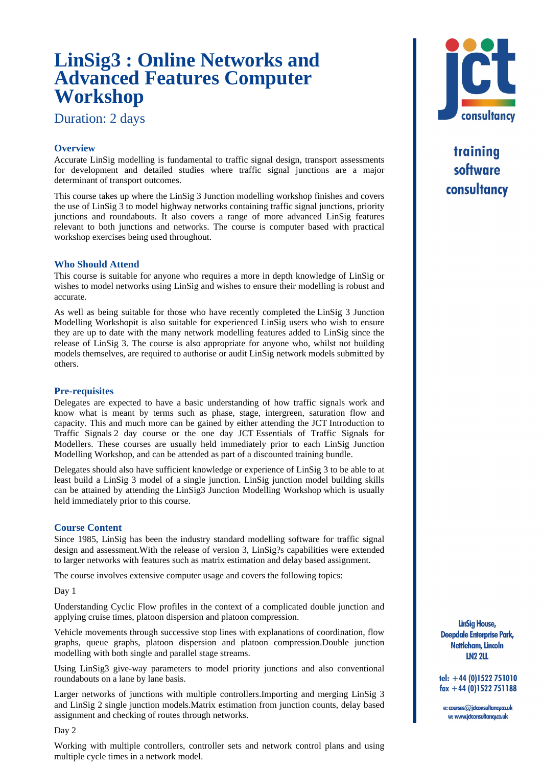# **LinSig3 : Online Networks and Advanced Features Computer Workshop**

Duration: 2 days

# **[Overview](#page--1-0)**

Accurate LinSig modelling is fundamental to traffic signal design, transport assessments for development and detailed studies where traffic signal junctions are a major determinant of transport outcomes.

This course takes up where the LinSig 3 Junction modelling workshop finishes and covers the use of LinSig 3 to model highway networks containing traffic signal junctions, priority junctions and roundabouts. It also covers a range of more advanced LinSig features [relevant to both junctions and ne](#page--1-0)tworks. The course is computer based with practical workshop exercises being used throughout.

# **Who Should Attend**

This course is suitable for anyone who requires a more in depth knowledge of LinSig or [wishes to model networks using LinSig and](#page--1-0) wishes to ensure their modelling is robust and accurate.

As well as being suitable for those who have recently completed the LinSig 3 Junction Modelling Workshopit is also suitable for experienced LinSig users who wish to ensure they are up to date with the many network modelling features added to LinSig since the [release o](#page--1-0)f LinSig 3. The course is also appropriate for anyone who, whilst not building models themselves, are required to authorise or audit LinSig network models submitted by others.

# **Pre-requisites**

Delegates are expected to have a basic understanding of how traffic signals work and [know](#page--1-0) what is meant by terms such as phase, stage, intergreen, saturation flow and capacity. This and much more can be gained by either attending the JCT Introduction to Traffic Signals 2 day course or the one day JCT Essentials of Traffic Signals for Modellers. These courses are usually held immediately prior to each LinSig Junction Modelling Workshop, and can be attended as part of a discounted training bundle.

Delegates should also have sufficient knowledge or experience of LinSig 3 to be able to at least build a LinSig 3 model of a single junction. LinSig junction model building skills can be attained by attending the LinSig3 Junction Modelling Workshop which is usually [held immediately prior to this course.](#page--1-0)

## **Course Content**

Since 1985, LinSig has been the industry standard modelling software for traffic signal [design and assessment.With the relea](#page--1-0)se of version 3, LinSig?s capabilities were extended to larger networks with features such as matrix estimation and delay based assignment.

The course involves extensive computer usage and covers the following topics:

Day 1

[Understanding Cyclic Flow profiles in the context of a complicated double junction a](#page--1-0)nd [applying cruise times, platoon dispersion and platoon compression.](#page--1-0)

[Vehicl](#page--1-0)e movements through successive stop lines with explanations of coordination, flow graphs, queue graphs, platoon dispersion and platoon compression.Double junction modelling with both single and parallel stage streams.

[Using LinSig3 give-way parameters to model priority junctions](#page--1-0) and also conventional roundabouts on a lane by lane basis.

[Larger networks of junctions with multiple controlle](#page--1-0)rs.Importing and merging LinSig 3 and LinSig 2 single junction models.Matrix estimation from junction counts, delay based assignment and checking of routes through networks.

## [Day 2](#page--1-0)

Working with multiple controllers, controller sets and network control plans and using [multiple cycle times in a network model.](#page--1-0)



training software consultancy

**LinSig House, Deepdale Enterprise Park,** Nettleham, Lincoln **LN2 2LL** 

tel:  $+44$  (0)1522 751010  $\frac{1}{2}$  fax +44 (0)1522 751188

e: courses@jdconsultancy.co.uk w: www.jctconsultancy.co.uk